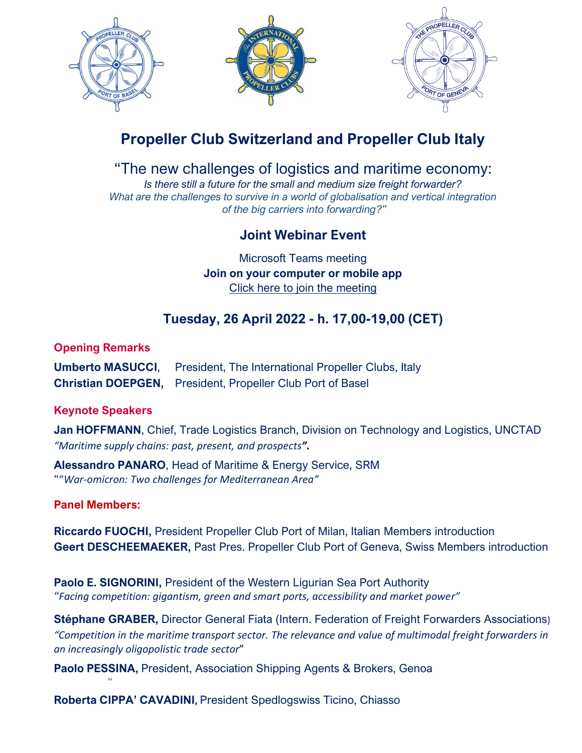

# **Propeller Club Switzerland and Propeller Club Italy**

"The new challenges of logistics and maritime economy:

*Is there still a future for the small and medium size freight forwarder? What are the challenges to survive in a world of globalisation and vertical integration of the big carriers into forwarding?"*

## **Joint Webinar Event**

Microsoft Teams meeting **Join on your computer or mobile app** [Click here to join the meeting](https://teams.microsoft.com/l/meetup-join/19%3ameeting_MDVjMWQwMzYtOWY0YS00N2RlLTg2YTYtODJiZThmNDg3NGNm%40thread.v2/0?context=%7b%22Tid%22%3a%224e67d9f9-2d68-43a0-8db4-45c10153b44a%22%2c%22Oid%22%3a%226ed44ac6-10b0-4cfd-9025-3a422084a697%22%7d)

# **Tuesday, 26 April 2022 - h. 17,00-19,00 (CET)**

#### **Opening Remarks**

| <b>Umberto MASUCCI,</b> President, The International Propeller Clubs, Italy |
|-----------------------------------------------------------------------------|
| Christian DOEPGEN, President, Propeller Club Port of Basel                  |

### **Keynote Speakers**

**Jan HOFFMANN**, Chief, Trade Logistics Branch, Division on Technology and Logistics, UNCTAD *"Maritime supply chains: past, present, and prospects".* 

**Alessandro PANARO**, Head of Maritime & Energy Service, SRM ""*War-omicron: Two challenges for Mediterranean Area"*

#### **Panel Members:**

*"*

**Riccardo FUOCHI,** President Propeller Club Port of Milan, Italian Members introduction **Geert DESCHEEMAEKER,** Past Pres. Propeller Club Port of Geneva, Swiss Members introduction

**Paolo E. SIGNORINI,** President of the Western Ligurian Sea Port Authority *"Facing competition: gigantism, green and smart ports, accessibility and market power"*

**Stéphane GRABER,** Director General Fiata (Intern. Federation of Freight Forwarders Associations) *"Competition in the maritime transport sector. The relevance and value of multimodal freight forwarders in an increasingly oligopolistic trade sector*"

**Paolo PESSINA,** President, Association Shipping Agents & Brokers, Genoa

**Roberta CIPPA' CAVADINI,** President Spedlogswiss Ticino, Chiasso